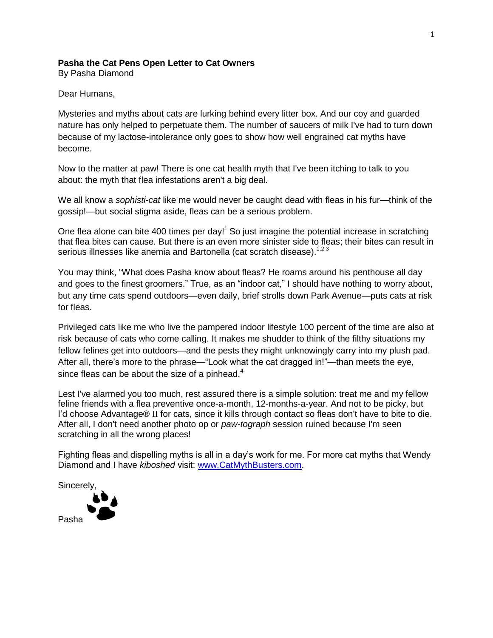## **Pasha the Cat Pens Open Letter to Cat Owners**

By Pasha Diamond

Dear Humans,

Mysteries and myths about cats are lurking behind every litter box. And our coy and guarded nature has only helped to perpetuate them. The number of saucers of milk I've had to turn down because of my lactose-intolerance only goes to show how well engrained cat myths have become.

Now to the matter at paw! There is one cat health myth that I've been itching to talk to you about: the myth that flea infestations aren't a big deal.

We all know a *sophisti-cat* like me would never be caught dead with fleas in his fur—think of the gossip!—but social stigma aside, fleas can be a serious problem.

One flea alone can bite 400 times per day!<sup>1</sup> So just imagine the potential increase in scratching that flea bites can cause. But there is an even more sinister side to fleas; their bites can result in serious illnesses like anemia and Bartonella (cat scratch disease).<sup>1,2,3</sup>

You may think, "What does Pasha know about fleas? He roams around his penthouse all day and goes to the finest groomers." True, as an "indoor cat," I should have nothing to worry about, but any time cats spend outdoors—even daily, brief strolls down Park Avenue—puts cats at risk for fleas.

Privileged cats like me who live the pampered indoor lifestyle 100 percent of the time are also at risk because of cats who come calling. It makes me shudder to think of the filthy situations my fellow felines get into outdoors—and the pests they might unknowingly carry into my plush pad. After all, there's more to the phrase—"Look what the cat dragged in!"—than meets the eye, since fleas can be about the size of a pinhead.<sup>4</sup>

Lest I've alarmed you too much, rest assured there is a simple solution: treat me and my fellow feline friends with a flea preventive once-a-month, 12-months-a-year. And not to be picky, but I'd choose Advantage® II for cats, since it kills through contact so fleas don't have to bite to die. After all, I don't need another photo op or *paw-tograph* session ruined because I'm seen scratching in all the wrong places!

Fighting fleas and dispelling myths is all in a day's work for me. For more cat myths that Wendy Diamond and I have *kiboshed* visit: [www.CatMythBusters.com.](http://www.catmythbusters.com/)

**Sincerely**